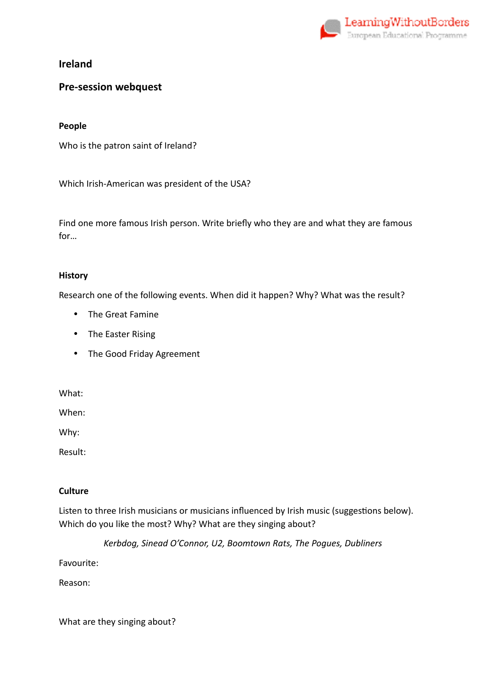

## **Pre-session webquest**

### **People**

Who is the patron saint of Ireland?

Which Irish-American was president of the USA?

Find one more famous Irish person. Write briefly who they are and what they are famous for…

### **History**

Research one of the following events. When did it happen? Why? What was the result?

- The Great Famine
- The Easter Rising
- The Good Friday Agreement

What:

When:

Why:

Result:

#### **Culture**

Listen to three Irish musicians or musicians influenced by Irish music (suggestions below). Which do you like the most? Why? What are they singing about?

*Kerbdog, Sinead O'Connor, U2, Boomtown Rats, The Pogues, Dubliners* 

Favourite:

Reason:

What are they singing about?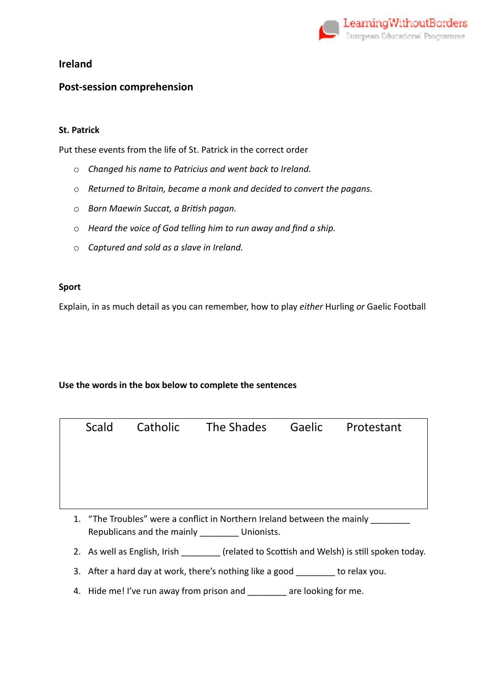

### **Post-session comprehension**

### **St. Patrick**

Put these events from the life of St. Patrick in the correct order

- o *Changed his name to Patricius and went back to Ireland.*
- o *Returned to Britain, became a monk and decided to convert the pagans.*
- o *Born Maewin Succat, a BriFsh pagan.*
- o *Heard the voice of God telling him to run away and find a ship.*
- o *Captured and sold as a slave in Ireland.*

### **Sport**

Explain, in as much detail as you can remember, how to play *either* Hurling *or* Gaelic Football

### **Use the words in the box below to complete the sentences**

|                         | Scald | Catholic       | The Shades Gaelic Protestant |  |
|-------------------------|-------|----------------|------------------------------|--|
|                         |       |                |                              |  |
|                         |       |                |                              |  |
|                         |       |                |                              |  |
| $\frac{1}{2}$<br>$\sim$ | -     | $\blacksquare$ |                              |  |

- 1. "The Troubles" were a conflict in Northern Ireland between the mainly \_\_\_\_\_\_\_ Republicans and the mainly \_\_\_\_\_\_\_\_ Unionists.
- 2. As well as English, Irish \_\_\_\_\_\_\_\_ (related to Scottish and Welsh) is still spoken today.
- 3. After a hard day at work, there's nothing like a good \_\_\_\_\_\_\_ to relax you.
- 4. Hide me! I've run away from prison and \_\_\_\_\_\_\_ are looking for me.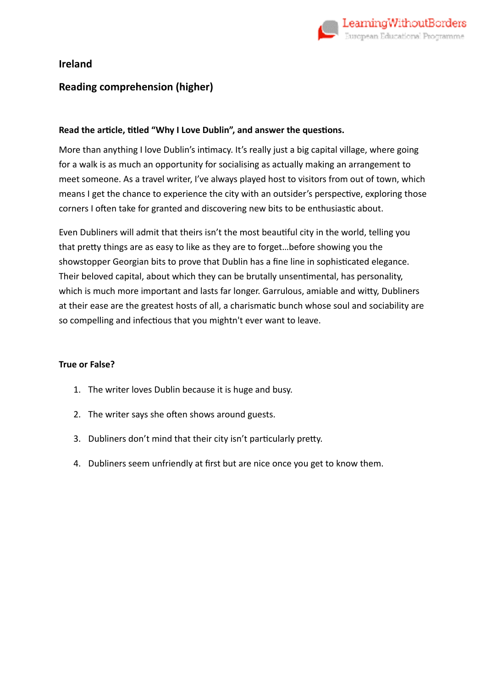

## **Reading comprehension (higher)**

### Read the article, titled "Why I Love Dublin", and answer the questions.

More than anything I love Dublin's intimacy. It's really just a big capital village, where going for a walk is as much an opportunity for socialising as actually making an arrangement to meet someone. As a travel writer, I've always played host to visitors from out of town, which means I get the chance to experience the city with an outsider's perspective, exploring those corners I often take for granted and discovering new bits to be enthusiastic about.

Even Dubliners will admit that theirs isn't the most beautiful city in the world, telling you that pretty things are as easy to like as they are to forget...before showing you the showstopper Georgian bits to prove that Dublin has a fine line in sophisticated elegance. Their beloved capital, about which they can be brutally unsentimental, has personality, which is much more important and lasts far longer. Garrulous, amiable and witty, Dubliners at their ease are the greatest hosts of all, a charismatic bunch whose soul and sociability are so compelling and infectious that you mightn't ever want to leave.

### **True or False?**

- 1. The writer loves Dublin because it is huge and busy.
- 2. The writer says she often shows around guests.
- 3. Dubliners don't mind that their city isn't particularly pretty.
- 4. Dubliners seem unfriendly at first but are nice once you get to know them.